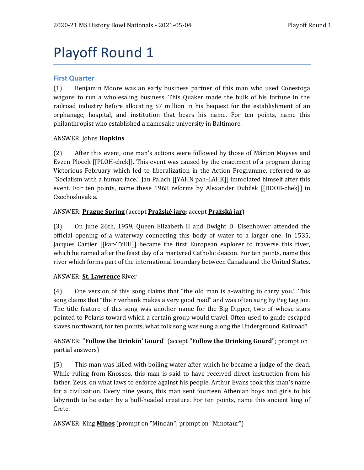# Playoff Round 1

## **First Quarter**

(1) Benjamin Moore was an early business partner of this man who used Conestoga wagons to run a wholesaling business. This Quaker made the bulk of his fortune in the railroad industry before allocating \$7 million in his bequest for the establishment of an orphanage, hospital, and institution that bears his name. For ten points, name this philanthropist who established a namesake university in Baltimore.

## ANSWER: Johns **Hopkins**

(2) After this event, one man's actions were followed by those of Márton Moyses and Evzen Plocek [[PLOH-chek]]. This event was caused by the enactment of a program during Victorious February which led to liberalization in the Action Programme, referred to as "Socialism with a human face." Jan Palach [[YAHN pah-LAHK]] immolated himself after this event. For ten points, name these 1968 reforms by Alexander Dubček [[DOOB-chek]] in Czechoslovakia.

## ANSWER: **Prague Spring** (accept **Pražské jaro**; accept **Pražská jar**)

(3) On June 26th, 1959, Queen Elizabeth II and Dwight D. Eisenhower attended the official opening of a waterway connecting this body of water to a larger one. In 1535, Jacques Cartier [[kar-TYEH]] became the first European explorer to traverse this river, which he named after the feast day of a martyred Catholic deacon. For ten points, name this river which forms part of the international boundary between Canada and the United States.

## ANSWER: **St. Lawrence** River

(4) One version of this song claims that "the old man is a-waiting to carry you." This song claims that "the riverbank makes a very good road" and was often sung by Peg Leg Joe. The title feature of this song was another name for the Big Dipper, two of whose stars pointed to Polaris toward which a certain group would travel. Often used to guide escaped slaves northward, for ten points, what folk song was sung along the Underground Railroad?

# ANSWER: **"Follow the Drinkin' Gourd**" (accept **"Follow the Drinking Gourd"**; prompt on partial answers)

(5) This man was killed with boiling water after which he became a judge of the dead. While ruling from Knossos, this man is said to have received direct instruction from his father, Zeus, on what laws to enforce against his people. Arthur Evans took this man's name for a civilization. Every nine years, this man sent fourteen Athenian boys and girls to his labyrinth to be eaten by a bull-headed creature. For ten points, name this ancient king of Crete.

ANSWER: King **Minos** (prompt on "Minoan"; prompt on "Minotaur")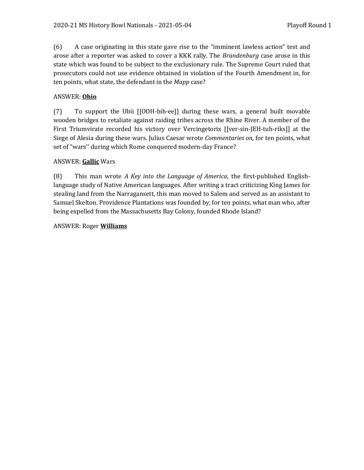(6) A case originating in this state gave rise to the "imminent lawless action" test and arose after a reporter was asked to cover a KKK rally. The *Brandenburg* case arose in this state which was found to be subject to the exclusionary rule. The Supreme Court ruled that prosecutors could not use evidence obtained in violation of the Fourth Amendment in, for ten points, what state, the defendant in the *Mapp* case?

# ANSWER: **Ohio**

(7) To support the Ubii [[OOH-bih-ee]] during these wars, a general built movable wooden bridges to retaliate against raiding tribes across the Rhine River. A member of the First Triumvirate recorded his victory over Vercingetorix [[ver-sin-JEH-tuh-riks]] at the Siege of Alesia during these wars. Julius Caesar wrote *Commentaries on*, for ten points, what set of "wars'' during which Rome conquered modern-day France?

## ANSWER: **Gallic** Wars

(8) This man wrote *A Key into the Language of America*, the first-published Englishlanguage study of Native American languages. After writing a tract criticizing King James for stealing land from the Narragansett, this man moved to Salem and served as an assistant to Samuel Skelton. Providence Plantations was founded by, for ten points, what man who, after being expelled from the Massachusetts Bay Colony, founded Rhode Island?

## ANSWER: Roger **Williams**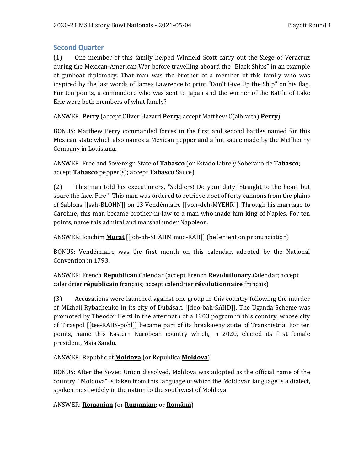# **Second Quarter**

(1) One member of this family helped Winfield Scott carry out the Siege of Veracruz during the Mexican-American War before travelling aboard the "Black Ships" in an example of gunboat diplomacy. That man was the brother of a member of this family who was inspired by the last words of James Lawrence to print "Don't Give Up the Ship" on his flag. For ten points, a commodore who was sent to Japan and the winner of the Battle of Lake Erie were both members of what family?

ANSWER: **Perry** (accept Oliver Hazard **Perry**; accept Matthew C(albraith) **Perry**)

BONUS: Matthew Perry commanded forces in the first and second battles named for this Mexican state which also names a Mexican pepper and a hot sauce made by the McIlhenny Company in Louisiana.

ANSWER: Free and Sovereign State of **Tabasco** (or Estado Libre y Soberano de **Tabasco**; accept **Tabasco** pepper(s); accept **Tabasco** Sauce)

(2) This man told his executioners, "Soldiers! Do your duty! Straight to the heart but spare the face. Fire!" This man was ordered to retrieve a set of forty cannons from the plains of Sablons [[sah-BLOHN]] on 13 Vendémiaire [[von-deh-MYEHR]]. Through his marriage to Caroline, this man became brother-in-law to a man who made him king of Naples. For ten points, name this admiral and marshal under Napoleon.

ANSWER: Joachim **Murat** [[joh-ah-SHAHM moo-RAH]] (be lenient on pronunciation)

BONUS: Vendémiaire was the first month on this calendar, adopted by the National Convention in 1793.

ANSWER: French **Republican** Calendar (accept French **Revolutionary** Calendar; accept calendrier **républicain** français; accept calendrier **révolutionnaire** français)

(3) Accusations were launched against one group in this country following the murder of Mikhail Rybachenko in its city of Dubăsari [[doo-bah-SAHD]]. The Uganda Scheme was promoted by Theodor Herzl in the aftermath of a 1903 pogrom in this country, whose city of Tiraspol [[tee-RAHS-pohl]] became part of its breakaway state of Transnistria. For ten points, name this Eastern European country which, in 2020, elected its first female president, Maia Sandu.

# ANSWER: Republic of **Moldova** (or Republica **Moldova**)

BONUS: After the Soviet Union dissolved, Moldova was adopted as the official name of the country. "Moldova" is taken from this language of which the Moldovan language is a dialect, spoken most widely in the nation to the southwest of Moldova.

# ANSWER: **Romanian** (or **Rumanian**; or **Română**)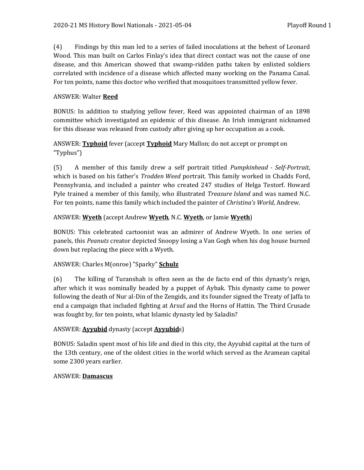(4) Findings by this man led to a series of failed inoculations at the behest of Leonard Wood. This man built on Carlos Finlay's idea that direct contact was not the cause of one disease, and this American showed that swamp-ridden paths taken by enlisted soldiers correlated with incidence of a disease which affected many working on the Panama Canal. For ten points, name this doctor who verified that mosquitoes transmitted yellow fever.

# ANSWER: Walter **Reed**

BONUS: In addition to studying yellow fever, Reed was appointed chairman of an 1898 committee which investigated an epidemic of this disease. An Irish immigrant nicknamed for this disease was released from custody after giving up her occupation as a cook.

# ANSWER: **Typhoid** fever (accept **Typhoid** Mary Mallon; do not accept or prompt on "Typhus")

(5) A member of this family drew a self portrait titled *Pumpkinhead - Self-Portrait*, which is based on his father's *Trodden Weed* portrait. This family worked in Chadds Ford, Pennsylvania, and included a painter who created 247 studies of Helga Testorf. Howard Pyle trained a member of this family, who illustrated *Treasure Island* and was named N.C. For ten points, name this family which included the painter of *Christina's World*, Andrew.

# ANSWER: **Wyeth** (accept Andrew **Wyeth**, N.C. **Wyeth**, or Jamie **Wyeth**)

BONUS: This celebrated cartoonist was an admirer of Andrew Wyeth. In one series of panels, this *Peanuts* creator depicted Snoopy losing a Van Gogh when his dog house burned down but replacing the piece with a Wyeth.

# ANSWER: Charles M(onroe) "Sparky" **Schulz**

(6) The killing of Turanshah is often seen as the de facto end of this dynasty's reign, after which it was nominally headed by a puppet of Aybak. This dynasty came to power following the death of Nur al-Din of the Zengids, and its founder signed the Treaty of Jaffa to end a campaign that included fighting at Arsuf and the Horns of Hattin. The Third Crusade was fought by, for ten points, what Islamic dynasty led by Saladin?

# ANSWER: **Ayyubid** dynasty (accept **Ayyubid**s)

BONUS: Saladin spent most of his life and died in this city, the Ayyubid capital at the turn of the 13th century, one of the oldest cities in the world which served as the Aramean capital some 2300 years earlier.

# ANSWER: **Damascus**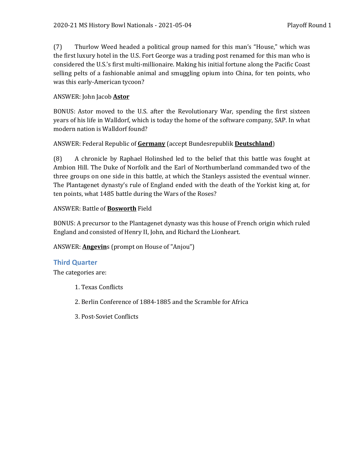(7) Thurlow Weed headed a political group named for this man's "House," which was the first luxury hotel in the U.S. Fort George was a trading post renamed for this man who is considered the U.S.'s first multi-millionaire. Making his initial fortune along the Pacific Coast selling pelts of a fashionable animal and smuggling opium into China, for ten points, who was this early-American tycoon?

# ANSWER: John Jacob **Astor**

BONUS: Astor moved to the U.S. after the Revolutionary War, spending the first sixteen years of his life in Walldorf, which is today the home of the software company, SAP. In what modern nation is Walldorf found?

# ANSWER: Federal Republic of **Germany** (accept Bundesrepublik **Deutschland**)

(8) A chronicle by Raphael Holinshed led to the belief that this battle was fought at Ambion Hill. The Duke of Norfolk and the Earl of Northumberland commanded two of the three groups on one side in this battle, at which the Stanleys assisted the eventual winner. The Plantagenet dynasty's rule of England ended with the death of the Yorkist king at, for ten points, what 1485 battle during the Wars of the Roses?

# ANSWER: Battle of **Bosworth** Field

BONUS: A precursor to the Plantagenet dynasty was this house of French origin which ruled England and consisted of Henry II, John, and Richard the Lionheart.

# ANSWER: **Angevin**s (prompt on House of "Anjou")

# **Third Quarter**

The categories are:

- 1. Texas Conflicts
- 2. Berlin Conference of 1884-1885 and the Scramble for Africa
- 3. Post-Soviet Conflicts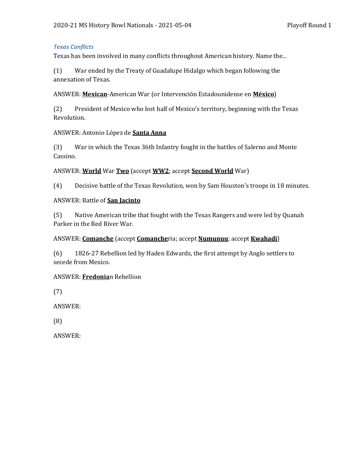#### *Texas Conflicts*

Texas has been involved in many conflicts throughout American history. Name the...

(1) War ended by the Treaty of Guadalupe Hidalgo which began following the annexation of Texas.

ANSWER: **Mexican**-American War (or Intervención Estadounidense en **México**)

(2) President of Mexico who lost half of Mexico's territory, beginning with the Texas Revolution.

#### ANSWER: Antonio López de **Santa Anna**

(3) War in which the Texas 36th Infantry fought in the battles of Salerno and Monte Cassino.

#### ANSWER: **World** War **Two** (accept **WW2**; accept **Second World** War)

(4) Decisive battle of the Texas Revolution, won by Sam Houston's troops in 18 minutes.

#### ANSWER: Battle of **San Jacinto**

(5) Native American tribe that fought with the Texas Rangers and were led by Quanah Parker in the Red River War.

#### ANSWER: **Comanche** (accept **Comanche**ria; accept **Numunuu**; accept **Kwahadi**)

(6) 1826-27 Rebellion led by Haden Edwards, the first attempt by Anglo settlers to secede from Mexico.

#### ANSWER: **Fredonia**n Rebellion

(7)

ANSWER:

(8)

ANSWER: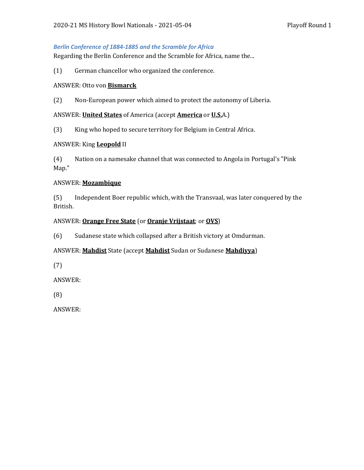#### *Berlin Conference of 1884-1885 and the Scramble for Africa*

Regarding the Berlin Conference and the Scramble for Africa, name the...

(1) German chancellor who organized the conference.

#### ANSWER: Otto von **Bismarck**

(2) Non-European power which aimed to protect the autonomy of Liberia.

ANSWER: **United States** of America (accept **America** or **U.S.**A.)

(3) King who hoped to secure territory for Belgium in Central Africa.

#### ANSWER: King **Leopold** II

(4) Nation on a namesake channel that was connected to Angola in Portugal's "Pink Map."

#### ANSWER: **Mozambique**

(5) Independent Boer republic which, with the Transvaal, was later conquered by the British.

#### ANSWER: **Orange Free State** (or **Oranje Vrijstaat**; or **OVS**)

(6) Sudanese state which collapsed after a British victory at Omdurman.

## ANSWER: **Mahdist** State (accept **Mahdist** Sudan or Sudanese **Mahdiyya**)

(7)

ANSWER:

(8)

ANSWER: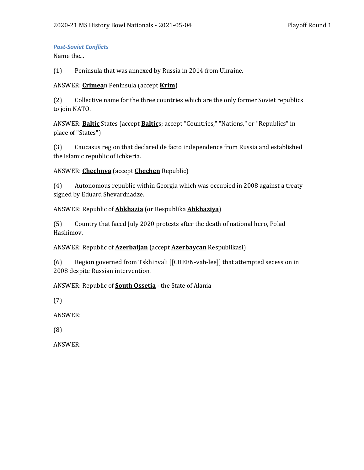#### *Post-Soviet Conflicts*

Name the...

(1) Peninsula that was annexed by Russia in 2014 from Ukraine.

#### ANSWER: **Crimea**n Peninsula (accept **Krim**)

(2) Collective name for the three countries which are the only former Soviet republics to join NATO.

ANSWER: **Baltic** States (accept **Baltic**s; accept "Countries," "Nations," or "Republics" in place of "States")

(3) Caucasus region that declared de facto independence from Russia and established the Islamic republic of Ichkeria.

## ANSWER: **Chechnya** (accept **Chechen** Republic)

(4) Autonomous republic within Georgia which was occupied in 2008 against a treaty signed by Eduard Shevardnadze.

## ANSWER: Republic of **Abkhazia** (or Respublika **Abkhaziya**)

(5) Country that faced July 2020 protests after the death of national hero, Polad Hashimov.

## ANSWER: Republic of **Azerbaijan** (accept **Azerbaycan** Respublikasi)

(6) Region governed from Tskhinvali [[CHEEN-vah-lee]] that attempted secession in 2008 despite Russian intervention.

## ANSWER: Republic of **South Ossetia** - the State of Alania

(7)

ANSWER:

(8)

ANSWER: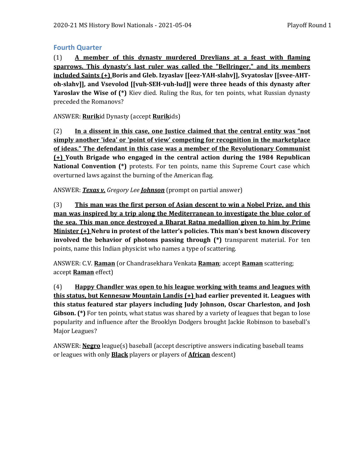## **Fourth Quarter**

(1) **A member of this dynasty murdered Drevlians at a feast with flaming sparrows. This dynasty's last ruler was called the "Bellringer," and its members included Saints (+) Boris and Gleb. Izyaslav [[eez-YAH-slahv]], Svyatoslav [[svee-AHToh-slahv]], and Vsevolod [[vuh-SEH-vuh-lud]] were three heads of this dynasty after Yaroslav the Wise of (\*)** Kiev died. Ruling the Rus, for ten points, what Russian dynasty preceded the Romanovs?

ANSWER: **Rurik**id Dynasty (accept **Rurik**ids)

(2) **In a dissent in this case, one Justice claimed that the central entity was "not simply another 'idea' or 'point of view' competing for recognition in the marketplace of ideas." The defendant in this case was a member of the Revolutionary Communist (+) Youth Brigade who engaged in the central action during the 1984 Republican National Convention (\*)** protests. For ten points, name this Supreme Court case which overturned laws against the burning of the American flag.

ANSWER: *Texas v. Gregory Lee Johnson* (prompt on partial answer)

(3) **This man was the first person of Asian descent to win a Nobel Prize, and this man was inspired by a trip along the Mediterranean to investigate the blue color of the sea. This man once destroyed a Bharat Ratna medallion given to him by Prime Minister (+) Nehru in protest of the latter's policies. This man's best known discovery involved the behavior of photons passing through (\*)** transparent material. For ten points, name this Indian physicist who names a type of scattering.

ANSWER: C.V. **Raman** (or Chandrasekhara Venkata **Raman**; accept **Raman** scattering; accept **Raman** effect)

(4) **Happy Chandler was open to his league working with teams and leagues with this status, but Kennesaw Mountain Landis (+) had earlier prevented it. Leagues with this status featured star players including Judy Johnson, Oscar Charleston, and Josh Gibson. (\*)** For ten points, what status was shared by a variety of leagues that began to lose popularity and influence after the Brooklyn Dodgers brought Jackie Robinson to baseball's Major Leagues?

ANSWER: **Negro** league(s) baseball (accept descriptive answers indicating baseball teams or leagues with only **Black** players or players of **African** descent)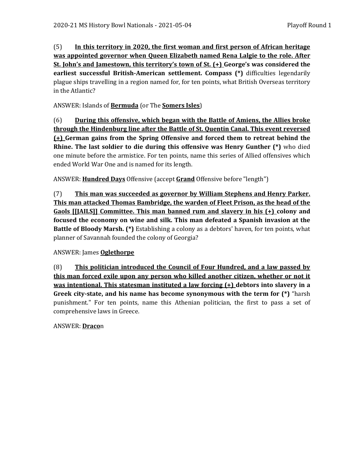(5) **In this territory in 2020, the first woman and first person of African heritage was appointed governor when Queen Elizabeth named Rena Lalgie to the role. After St. John's and Jamestown, this territory's town of St. (+) George's was considered the earliest successful British-American settlement. Compass (\*)** difficulties legendarily plague ships travelling in a region named for, for ten points, what British Overseas territory in the Atlantic?

ANSWER: Islands of **Bermuda** (or The **Somers Isles**)

(6) **During this offensive, which began with the Battle of Amiens, the Allies broke through the Hindenburg line after the Battle of St. Quentin Canal. This event reversed (+) German gains from the Spring Offensive and forced them to retreat behind the Rhine. The last soldier to die during this offensive was Henry Gunther (\*)** who died one minute before the armistice. For ten points, name this series of Allied offensives which ended World War One and is named for its length.

ANSWER: **Hundred Days** Offensive (accept **Grand** Offensive before "length")

(7) **This man was succeeded as governor by William Stephens and Henry Parker. This man attacked Thomas Bambridge, the warden of Fleet Prison, as the head of the Gaols [[JAILS]] Committee. This man banned rum and slavery in his (+) colony and focused the economy on wine and silk. This man defeated a Spanish invasion at the Battle of Bloody Marsh. (\*)** Establishing a colony as a debtors' haven, for ten points, what planner of Savannah founded the colony of Georgia?

## ANSWER: James **Oglethorpe**

(8) **This politician introduced the Council of Four Hundred, and a law passed by this man forced exile upon any person who killed another citizen, whether or not it was intentional. This statesman instituted a law forcing (+) debtors into slavery in a Greek city-state, and his name has become synonymous with the term for (\*)** "harsh punishment." For ten points, name this Athenian politician, the first to pass a set of comprehensive laws in Greece.

## ANSWER: **Draco**n